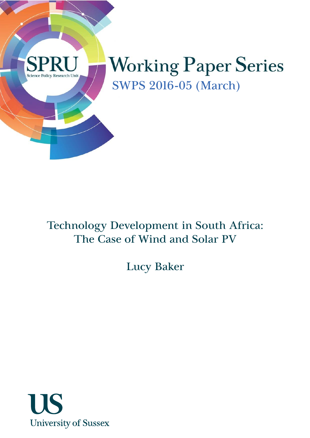

# Technology Development in South Africa: The Case of Wind and Solar PV

Lucy Baker

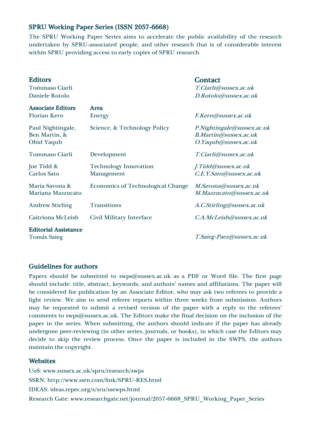# SPRU Working Paper Series (ISSN 2057-6668)

The SPRU Working Paper Series aims to accelerate the public availability of the research undertaken by SPRU-associated people, and other research that is of considerable interest within SPRU providing access to early copies of SPRU research.

| <b>Editors</b><br><b>Tommaso Ciarli</b><br>Daniele Rotolo |                                            | <b>Contact</b><br>T.Ciarli@sussex.ac.uk<br>D.Rotolo@sussex.ac.uk            |
|-----------------------------------------------------------|--------------------------------------------|-----------------------------------------------------------------------------|
| <b>Associate Editors</b><br><b>Florian Kern</b>           | Area<br>Energy                             | F.Kern@sussex.ac.uk                                                         |
| Paul Nightingale,<br>Ben Martin, &<br><b>Ohid Yaqub</b>   | Science, & Technology Policy               | P.Nightingale@sussex.ac.uk<br>B.Martin@sussex.ac.uk<br>O.Yaqub@sussex.ac.uk |
| <b>Tommaso Ciarli</b>                                     | Development                                | T.Ciarli@sussex.ac.uk                                                       |
| Joe Tidd $\&$<br><b>Carlos Sato</b>                       | <b>Technology Innovation</b><br>Management | J.Tidd@sussex.ac.uk<br>C.E.Y.Sato@sussex.ac.uk                              |
| Maria Savona &<br>Mariana Mazzucato                       | <b>Economics of Technological Change</b>   | M.Savona@sussex.ac.uk<br>M.Mazzucato@sussex.ac.uk                           |
| <b>Andrew Stirling</b>                                    | <b>Transitions</b>                         | A.C.Stirling@sussex.ac.uk                                                   |
| <b>Caitriona McLeish</b>                                  | Civil Military Interface                   | C.A.McLeish@sussex.ac.uk                                                    |
| <b>Editorial Assistance</b><br><b>Tomás Saieg</b>         |                                            | T.Saieg-Paez@sussex.ac.uk                                                   |

# Guidelines for authors

Papers should be submitted to swps@sussex.ac.uk as a PDF or Word file. The first page should include: title, abstract, keywords, and authors' names and affiliations. The paper will be considered for publication by an Associate Editor, who may ask two referees to provide a light review. We aim to send referee reports within three weeks from submission. Authors may be requested to submit a revised version of the paper with a reply to the referees' comments to swps@sussex.ac.uk. The Editors make the final decision on the inclusion of the paper in the series. When submitting, the authors should indicate if the paper has already undergone peer-reviewing (in other series, journals, or books), in which case the Editors may decide to skip the review process. Once the paper is included in the SWPS, the authors maintain the copyright.

#### **Websites**

UoS: www.sussex.ac.uk/spru/research/swps SSRN: http://www.ssrn.com/link/SPRU-RES.html IDEAS: ideas.repec.org/s/sru/ssewps.html Research Gate: www.researchgate.net/journal/2057-6668\_SPRU\_Working\_Paper\_Series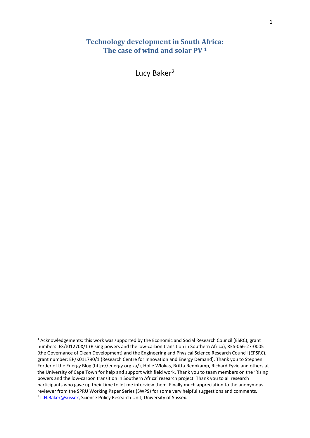# **Technology development in South Africa: The case of wind and solar PV <sup>1</sup>**

Lucy Baker<sup>2</sup>

**.** 

 $1$  Acknowledgements: this work was supported by the Economic and Social Research Council (ESRC), grant numbers: ES/J01270X/1 (Rising powers and the low-carbon transition in Southern Africa), RES-066-27-0005 (the Governance of Clean Development) and the Engineering and Physical Science Research Council (EPSRC), grant number: EP/K011790/1 (Research Centre for Innovation and Energy Demand). Thank you to Stephen Forder of the Energy Blog (http://energy.org.za/), Holle Wlokas, Britta Rennkamp, Richard Fyvie and others at the University of Cape Town for help and support with field work. Thank you to team members on the 'Rising powers and the low-carbon transition in Southern Africa' research project. Thank you to all research participants who gave up their time to let me interview them. Finally much appreciation to the anonymous reviewer from the SPRU Working Paper Series (SWPS) for some very helpful suggestions and comments. <sup>2</sup> [L.H.Baker@sussex,](mailto:L.H.Baker@sussex) Science Policy Research Unit, University of Sussex.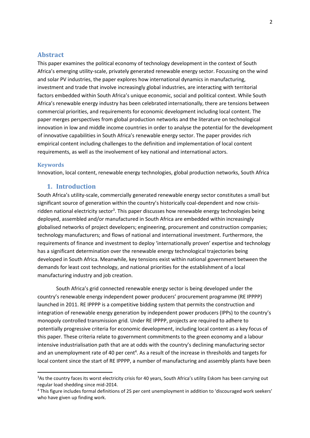### **Abstract**

This paper examines the political economy of technology development in the context of South Africa's emerging utility-scale, privately generated renewable energy sector. Focussing on the wind and solar PV industries, the paper explores how international dynamics in manufacturing, investment and trade that involve increasingly global industries, are interacting with territorial factors embedded within South Africa's unique economic, social and political context. While South Africa's renewable energy industry has been celebrated internationally, there are tensions between commercial priorities, and requirements for economic development including local content. The paper merges perspectives from global production networks and the literature on technological innovation in low and middle income countries in order to analyse the potential for the development of innovative capabilities in South Africa's renewable energy sector. The paper provides rich empirical content including challenges to the definition and implementation of local content requirements, as well as the involvement of key national and international actors.

#### **Keywords**

1

Innovation, local content, renewable energy technologies, global production networks, South Africa

#### **1. Introduction**

South Africa's utility-scale, commercially generated renewable energy sector constitutes a small but significant source of generation within the country's historically coal-dependent and now crisisridden national electricity sector<sup>3</sup>. This paper discusses how renewable energy technologies being deployed, assembled and/or manufactured in South Africa are embedded within increasingly globalised networks of project developers; engineering, procurement and construction companies; technology manufacturers; and flows of national and international investment. Furthermore, the requirements of finance and investment to deploy 'internationally proven' expertise and technology has a significant determination over the renewable energy technological trajectories being developed in South Africa. Meanwhile, key tensions exist within national government between the demands for least cost technology, and national priorities for the establishment of a local manufacturing industry and job creation.

South Africa's grid connected renewable energy sector is being developed under the country's renewable energy independent power producers' procurement programme (RE IPPPP) launched in 2011. RE IPPPP is a competitive bidding system that permits the construction and integration of renewable energy generation by independent power producers (IPPs) to the country's monopoly controlled transmission grid. Under RE IPPPP, projects are required to adhere to potentially progressive criteria for economic development, including local content as a key focus of this paper. These criteria relate to government commitments to the green economy and a labour intensive industrialisation path that are at odds with the country's declining manufacturing sector and an unemployment rate of 40 per cent<sup>4</sup>. As a result of the increase in thresholds and targets for local content since the start of RE IPPPP, a number of manufacturing and assembly plants have been

<sup>&</sup>lt;sup>3</sup>As the country faces its worst electricity crisis for 40 years, South Africa's utility Eskom has been carrying out regular load shedding since mid-2014.

<sup>4</sup> This figure includes formal definitions of 25 per cent unemployment in addition to 'discouraged work seekers' who have given up finding work.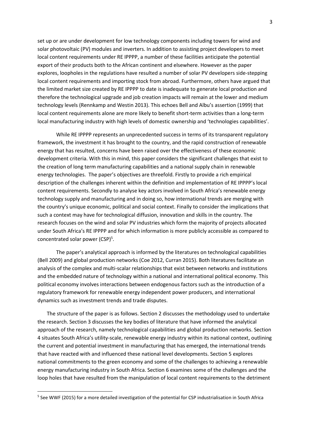set up or are under development for low technology components including towers for wind and solar photovoltaic (PV) modules and inverters. In addition to assisting project developers to meet local content requirements under RE IPPPP, a number of these facilities anticipate the potential export of their products both to the African continent and elsewhere. However as the paper explores, loopholes in the regulations have resulted a number of solar PV developers side-stepping local content requirements and importing stock from abroad. Furthermore, others have argued that the limited market size created by RE IPPPP to date is inadequate to generate local production and therefore the technological upgrade and job creation impacts will remain at the lower and medium technology levels (Rennkamp and Westin 2013). This echoes Bell and Albu's assertion (1999) that local content requirements alone are more likely to benefit short-term activities than a long-term local manufacturing industry with high levels of domestic ownership and 'technologies capabilities'.

While RE IPPPP represents an unprecedented success in terms of its transparent regulatory framework, the investment it has brought to the country, and the rapid construction of renewable energy that has resulted, concerns have been raised over the effectiveness of these economic development criteria. With this in mind, this paper considers the significant challenges that exist to the creation of long term manufacturing capabilities and a national supply chain in renewable energy technologies. The paper's objectives are threefold. Firstly to provide a rich empirical description of the challenges inherent within the definition and implementation of RE IPPPP's local content requirements. Secondly to analyse key actors involved in South Africa's renewable energy technology supply and manufacturing and in doing so, how international trends are merging with the country's unique economic, political and social context. Finally to consider the implications that such a context may have for technological diffusion, innovation and skills in the country. The research focuses on the wind and solar PV industries which form the majority of projects allocated under South Africa's RE IPPPP and for which information is more publicly accessible as compared to concentrated solar power (CSP)<sup>5</sup>.

The paper's analytical approach is informed by the literatures on technological capabilities (Bell 2009) and global production networks (Coe 2012, Curran 2015). Both literatures facilitate an analysis of the complex and multi-scalar relationships that exist between networks and institutions and the embedded nature of technology within a national and international political economy. This political economy involves interactions between endogenous factors such as the introduction of a regulatory framework for renewable energy independent power producers, and international dynamics such as investment trends and trade disputes.

The structure of the paper is as follows. Section 2 discusses the methodology used to undertake the research. Section 3 discusses the key bodies of literature that have informed the analytical approach of the research, namely technological capabilities and global production networks. Section 4 situates South Africa's utility-scale, renewable energy industry within its national context, outlining the current and potential investment in manufacturing that has emerged, the international trends that have reacted with and influenced these national level developments. Section 5 explores national commitments to the green economy and some of the challenges to achieving a renewable energy manufacturing industry in South Africa. Section 6 examines some of the challenges and the loop holes that have resulted from the manipulation of local content requirements to the detriment

**.** 

<sup>&</sup>lt;sup>5</sup> See WWF (2015) for a more detailed investigation of the potential for CSP industrialisation in South Africa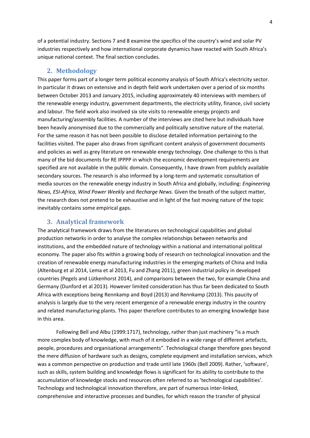of a potential industry. Sections 7 and 8 examine the specifics of the country's wind and solar PV industries respectively and how international corporate dynamics have reacted with South Africa's unique national context. The final section concludes.

#### **2. Methodology**

This paper forms part of a longer term political economy analysis of South Africa's electricity sector. In particular it draws on extensive and in depth field work undertaken over a period of six months between October 2013 and January 2015, including approximately 40 interviews with members of the renewable energy industry, government departments, the electricity utility, finance, civil society and labour. The field work also involved six site visits to renewable energy projects and manufacturing/assembly facilities. A number of the interviews are cited here but individuals have been heavily anonymised due to the commercially and politically sensitive nature of the material. For the same reason it has not been possible to disclose detailed information pertaining to the facilities visited. The paper also draws from significant content analysis of government documents and policies as well as grey literature on renewable energy technology. One challenge to this is that many of the bid documents for RE IPPPP in which the economic development requirements are specified are not available in the public domain. Consequently, I have drawn from publicly available secondary sources. The research is also informed by a long-term and systematic consultation of media sources on the renewable energy industry in South Africa and globally, including: *Engineering News, ESI-Africa, Wind Power Weekly* and *Recharge News.* Given the breath of the subject matter, the research does not pretend to be exhaustive and in light of the fast moving nature of the topic inevitably contains some empirical gaps.

#### **3. Analytical framework**

The analytical framework draws from the literatures on technological capabilities and global production networks in order to analyse the complex relationships between networks and institutions, and the embedded nature of technology within a national and international political economy. The paper also fits within a growing body of research on technological innovation and the creation of renewable energy manufacturing industries in the emerging markets of China and India (Altenburg et al 2014, Lema et al 2013, Fu and Zhang 2011), green industrial policy in developed countries (Pegels and Lütkenhorst 2014), and comparisons between the two, for example China and Germany (Dunford et al 2013). However limited consideration has thus far been dedicated to South Africa with exceptions being Rennkamp and Boyd (2013) and Rennkamp (2013). This paucity of analysis is largely due to the very recent emergence of a renewable energy industry in the country and related manufacturing plants. This paper therefore contributes to an emerging knowledge base in this area.

Following Bell and Albu (1999:1717), technology, rather than just machinery "is a much more complex body of knowledge, with much of it embodied in a wide range of different artefacts, people, procedures and organisational arrangements". Technological change therefore goes beyond the mere diffusion of hardware such as designs, complete equipment and installation services, which was a common perspective on production and trade until late 1960s (Bell 2009). Rather, 'software', such as skills, system building and knowledge flows is significant for its ability to contribute to the accumulation of knowledge stocks and resources often referred to as 'technological capabilities'. Technology and technological innovation therefore, are part of numerous inter-linked, comprehensive and interactive processes and bundles, for which reason the transfer of physical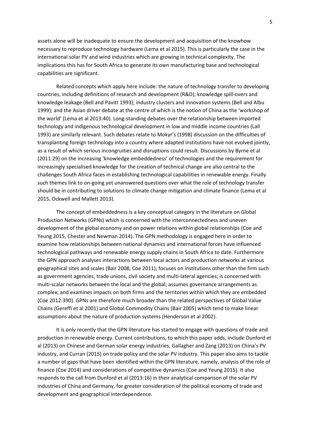assets alone will be inadequate to ensure the development and acquisition of the knowhow necessary to reproduce technology hardware (Lema et al 2015). This is particularly the case in the international solar PV and wind industries which are growing in technical complexity. The implications this has for South Africa to generate its own manufacturing base and technological capabilities are significant.

Related concepts which apply here include: the nature of technology transfer to developing countries, including definitions of research and development (R&D); knowledge spill-overs and knowledge leakage (Bell and Pavitt 1993); industry clusters and innovation systems (Bell and Albu 1999); and the Asian driver debate at the centre of which is the notion of China as the 'workshop of the world' (Lema et al 2013:40). Long-standing debates over the relationship between imported technology and indigenous technological development in low and middle income countries (Lall 1993) are similarly relevant. Such debates relate to Mokyr's (1998) discussion on the difficulties of transplanting foreign technology into a country where adapted institutions have not evolved jointly, as a result of which serious incongruities and disruptions could result. Discussions by Byrne et al (2011:29) on the increasing 'knowledge embeddedness' of technologies and the requirement for increasingly specialised knowledge for the creation of technical change are also central to the challenges South Africa faces in establishing technological capabilities in renewable energy. Finally such themes link to on-going yet unanswered questions over what the role of technology transfer should be in contributing to solutions to climate change mitigation and climate finance (Lema et al 2015, Ockwell and Mallett 2013).

The concept of embeddedness is a key conceptual category in the literature on Global Production Networks (GPNs) which is concerned with the interconnectedness and uneven development of the global economy and on power relations within global relationships (Coe and Yeung 2015, Chester and Newman 2014). The GPN methodology is engaged here in order to examine how relationships between national dynamics and international forces have influenced technological pathways and renewable energy supply chains in South Africa to date. Furthermore the GPN approach analyses interactions between local actors and production networks at various geographical sites and scales (Bair 2008, Coe 2011); focuses on institutions other than the firm such as government agencies, trade unions, civil society and multi-lateral agencies; is concerned with multi-scalar networks between the local and the global; assumes governance arrangements as complex; and examines impacts on both firms and the territories within which they are embedded (Coe 2012:390). GPNs are therefore much broader than the related perspectives of Global Value Chains (Gereffi et al 2001) and Global Commodity Chains (Bair 2005) which tend to make linear assumptions about the nature of production systems (Henderson et al 2002).

It is only recently that the GPN literature has started to engage with questions of trade and production in renewable energy. Current contributions, to which this paper adds, include Dunford et al (2013) on Chinese and German solar energy industries, Gallagher and Zang (2013) on China's PV industry, and Curran (2015) on trade policy and the solar PV industry. This paper also aims to tackle a number of gaps that have been identified within the GPN literature, namely, analysis of the role of finance (Coe 2014) and considerations of competitive dynamics (Coe and Yeung 2015). It also responds to the call from Dunford et al (2013:16) in their analytical comparison of the solar PV industries of China and Germany, for greater consideration of the political economy of trade and development and geographical interdependence.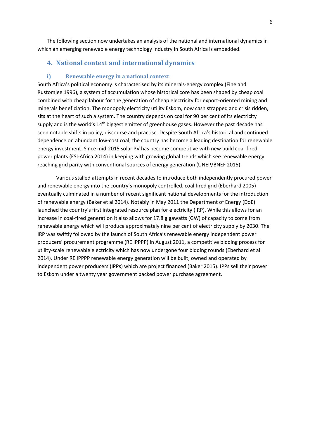The following section now undertakes an analysis of the national and international dynamics in which an emerging renewable energy technology industry in South Africa is embedded.

#### **4. National context and international dynamics**

#### **i) Renewable energy in a national context**

South Africa's political economy is characterised by its minerals-energy complex (Fine and Rustomjee 1996), a system of accumulation whose historical core has been shaped by cheap coal combined with cheap labour for the generation of cheap electricity for export-oriented mining and minerals beneficiation. The monopoly electricity utility Eskom, now cash strapped and crisis ridden, sits at the heart of such a system. The country depends on coal for 90 per cent of its electricity supply and is the world's 14<sup>th</sup> biggest emitter of greenhouse gases. However the past decade has seen notable shifts in policy, discourse and practise. Despite South Africa's historical and continued dependence on abundant low-cost coal, the country has become a leading destination for renewable energy investment. Since mid-2015 solar PV has become competitive with new build coal-fired power plants (ESI-Africa 2014) in keeping with growing global trends which see renewable energy reaching grid parity with conventional sources of energy generation (UNEP/BNEF 2015).

Various stalled attempts in recent decades to introduce both independently procured power and renewable energy into the country's monopoly controlled, coal fired grid (Eberhard 2005) eventually culminated in a number of recent significant national developments for the introduction of renewable energy (Baker et al 2014). Notably in May 2011 the Department of Energy (DoE) launched the country's first integrated resource plan for electricity (IRP). While this allows for an increase in coal-fired generation it also allows for 17.8 gigawatts (GW) of capacity to come from renewable energy which will produce approximately nine per cent of electricity supply by 2030. The IRP was swiftly followed by the launch of South Africa's renewable energy independent power producers' procurement programme (RE IPPPP) in August 2011, a competitive bidding process for utility-scale renewable electricity which has now undergone four bidding rounds (Eberhard et al 2014). Under RE IPPPP renewable energy generation will be built, owned and operated by independent power producers (IPPs) which are project financed (Baker 2015). IPPs sell their power to Eskom under a twenty year government backed power purchase agreement.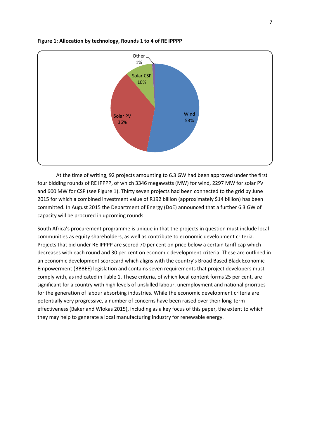

#### **Figure 1: Allocation by technology, Rounds 1 to 4 of RE IPPPP**

At the time of writing, 92 projects amounting to 6.3 GW had been approved under the first four bidding rounds of RE IPPPP, of which 3346 megawatts (MW) for wind, 2297 MW for solar PV and 600 MW for CSP (see Figure 1). Thirty seven projects had been connected to the grid by June 2015 for which a combined investment value of R192 billion (approximately \$14 billion) has been committed. In August 2015 the Department of Energy (DoE) announced that a further 6.3 GW of capacity will be procured in upcoming rounds.

South Africa's procurement programme is unique in that the projects in question must include local communities as equity shareholders, as well as contribute to economic development criteria. Projects that bid under RE IPPPP are scored 70 per cent on price below a certain tariff cap which decreases with each round and 30 per cent on economic development criteria. These are outlined in an economic development scorecard which aligns with the country's Broad Based Black Economic Empowerment (BBBEE) legislation and contains seven requirements that project developers must comply with, as indicated in Table 1. These criteria, of which local content forms 25 per cent, are significant for a country with high levels of unskilled labour, unemployment and national priorities for the generation of labour absorbing industries. While the economic development criteria are potentially very progressive, a number of concerns have been raised over their long-term effectiveness (Baker and Wlokas 2015), including as a key focus of this paper, the extent to which they may help to generate a local manufacturing industry for renewable energy.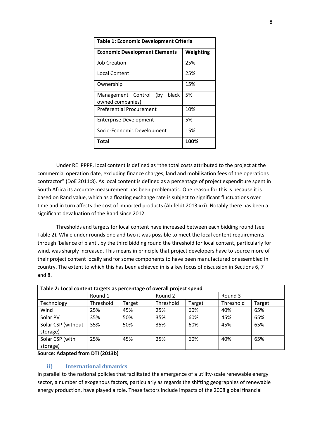| <b>Table 1: Economic Development Criteria</b>       |           |  |  |  |
|-----------------------------------------------------|-----------|--|--|--|
| <b>Economic Development Elements</b>                | Weighting |  |  |  |
| <b>Job Creation</b>                                 | 25%       |  |  |  |
| Local Content                                       | 25%       |  |  |  |
| Ownership                                           | 15%       |  |  |  |
| Management Control (by<br>black<br>owned companies) | 5%        |  |  |  |
| <b>Preferential Procurement</b>                     | 10%       |  |  |  |
| <b>Enterprise Development</b>                       | 5%        |  |  |  |
| Socio-Economic Development                          | 15%       |  |  |  |
| Total                                               | 100%      |  |  |  |

Under RE IPPPP, local content is defined as "the total costs attributed to the project at the commercial operation date, excluding finance charges, land and mobilisation fees of the operations contractor" (DoE 2011:8). As local content is defined as a percentage of project expenditure spent in South Africa its accurate measurement has been problematic. One reason for this is because it is based on Rand value, which as a floating exchange rate is subject to significant fluctuations over time and in turn affects the cost of imported products (Ahlfeldt 2013:xxi). Notably there has been a significant devaluation of the Rand since 2012.

Thresholds and targets for local content have increased between each bidding round (see Table 2). While under rounds one and two it was possible to meet the local content requirements through 'balance of plant', by the third bidding round the threshold for local content, particularly for wind, was sharply increased. This means in principle that project developers have to source more of their project content locally and for some components to have been manufactured or assembled in country. The extent to which this has been achieved in is a key focus of discussion in Sections 6, 7 and 8.

| Table 2: Local content targets as percentage of overall project spend |           |        |           |        |           |        |
|-----------------------------------------------------------------------|-----------|--------|-----------|--------|-----------|--------|
|                                                                       | Round 1   |        | Round 2   |        | Round 3   |        |
| Technology                                                            | Threshold | Target | Threshold | Target | Threshold | Target |
| Wind                                                                  | 25%       | 45%    | 25%       | 60%    | 40%       | 65%    |
| Solar PV                                                              | 35%       | 50%    | 35%       | 60%    | 45%       | 65%    |
| Solar CSP (without                                                    | 35%       | 50%    | 35%       | 60%    | 45%       | 65%    |
| storage)                                                              |           |        |           |        |           |        |
| Solar CSP (with                                                       | 25%       | 45%    | 25%       | 60%    | 40%       | 65%    |
| storage)                                                              |           |        |           |        |           |        |

#### **Source: Adapted from DTI (2013b)**

#### **ii) International dynamics**

In parallel to the national policies that facilitated the emergence of a utility-scale renewable energy sector, a number of exogenous factors, particularly as regards the shifting geographies of renewable energy production, have played a role. These factors include impacts of the 2008 global financial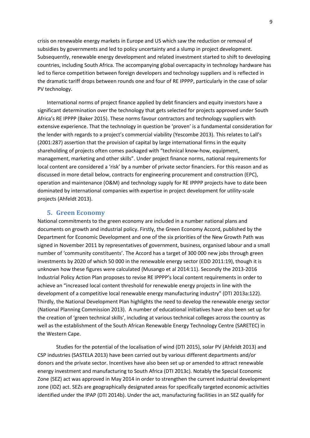crisis on renewable energy markets in Europe and US which saw the reduction or removal of subsidies by governments and led to policy uncertainty and a slump in project development. Subsequently, renewable energy development and related investment started to shift to developing countries, including South Africa. The accompanying global overcapacity in technology hardware has led to fierce competition between foreign developers and technology suppliers and is reflected in the dramatic tariff drops between rounds one and four of RE IPPPP, particularly in the case of solar PV technology.

International norms of project finance applied by debt financiers and equity investors have a significant determination over the technology that gets selected for projects approved under South Africa's RE IPPPP (Baker 2015). These norms favour contractors and technology suppliers with extensive experience. That the technology in question be 'proven' is a fundamental consideration for the lender with regards to a project's commercial viability (Yescombe 2013). This relates to Lall's (2001:287) assertion that the provision of capital by large international firms in the equity shareholding of projects often comes packaged with "technical know-how, equipment, management, marketing and other skills". Under project finance norms, national requirements for local content are considered a 'risk' by a number of private sector financiers. For this reason and as discussed in more detail below, contracts for engineering procurement and construction (EPC), operation and maintenance (O&M) and technology supply for RE IPPPP projects have to date been dominated by international companies with expertise in project development for utility-scale projects (Ahfeldt 2013).

#### **5. Green Economy**

National commitments to the green economy are included in a number national plans and documents on growth and industrial policy. Firstly, the Green Economy Accord, published by the Department for Economic Development and one of the six priorities of the New Growth Path was signed in November 2011 by representatives of government, business, organised labour and a small number of 'community constituents'. The Accord has a target of 300 000 new jobs through green investments by 2020 of which 50 000 in the renewable energy sector (EDD 2011:19), though it is unknown how these figures were calculated (Musango et al 2014:11). Secondly the 2013-2016 Industrial Policy Action Plan proposes to revise RE IPPPP's local content requirements in order to achieve an "increased local content threshold for renewable energy projects in line with the development of a competitive local renewable energy manufacturing industry" (DTI 2013a:122). Thirdly, the National Development Plan highlights the need to develop the renewable energy sector (National Planning Commission 2013). A number of educational initiatives have also been set up for the creation of 'green technical skills', including at various technical colleges across the country as well as the establishment of the South African Renewable Energy Technology Centre (SARETEC) in the Western Cape.

Studies for the potential of the localisation of wind (DTI 2015), solar PV (Ahfeldt 2013) and CSP industries (SASTELA 2013) have been carried out by various different departments and/or donors and the private sector. Incentives have also been set up or amended to attract renewable energy investment and manufacturing to South Africa (DTI 2013c). Notably the Special Economic Zone (SEZ) act was approved in May 2014 in order to strengthen the current industrial development zone (IDZ) act. SEZs are geographically designated areas for specifically targeted economic activities identified under the IPAP (DTI 2014b). Under the act, manufacturing facilities in an SEZ qualify for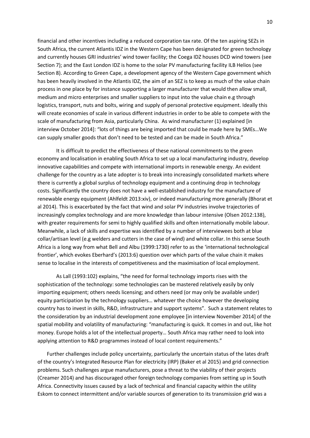financial and other incentives including a reduced corporation tax rate. Of the ten aspiring SEZs in South Africa, the current Atlantis IDZ in the Western Cape has been designated for green technology and currently houses GRI industries' wind tower facility; the Coega IDZ houses DCD wind towers (see Section 7); and the East London IDZ is home to the solar PV manufacturing facility ILB Helios (see Section 8). According to Green Cape, a development agency of the Western Cape government which has been heavily involved in the Atlantis IDZ, the aim of an SEZ is to keep as much of the value chain process in one place by for instance supporting a larger manufacturer that would then allow small, medium and micro enterprises and smaller suppliers to input into the value chain e.g through logistics, transport, nuts and bolts, wiring and supply of personal protective equipment. Ideally this will create economies of scale in various different industries in order to be able to compete with the scale of manufacturing from Asia, particularly China. As wind manufacturer (1) explained [in interview October 2014]: "lots of things are being imported that could be made here by SMEs…We can supply smaller goods that don't need to be tested and can be made in South Africa."

It is difficult to predict the effectiveness of these national commitments to the green economy and localisation in enabling South Africa to set up a local manufacturing industry, develop innovative capabilities and compete with international imports in renewable energy. An evident challenge for the country as a late adopter is to break into increasingly consolidated markets where there is currently a global surplus of technology equipment and a continuing drop in technology costs. Significantly the country does not have a well-established industry for the manufacture of renewable energy equipment (Ahlfeldt 2013:xiv), or indeed manufacturing more generally (Bhorat et al 2014). This is exacerbated by the fact that wind and solar PV industries involve trajectories of increasingly complex technology and are more knowledge than labour intensive (Olsen 2012:138), with greater requirements for semi to highly qualified skills and often internationally mobile labour. Meanwhile, a lack of skills and expertise was identified by a number of interviewees both at blue collar/artisan level (e.g welders and cutters in the case of wind) and white collar. In this sense South Africa is a long way from what Bell and Albu (1999:1730) refer to as the 'international technological frontier', which evokes Eberhard's (2013:6) question over which parts of the value chain it makes sense to localise in the interests of competitiveness and the maximisation of local employment.

As Lall (1993:102) explains, "the need for formal technology imports rises with the sophistication of the technology: some technologies can be mastered relatively easily by only importing equipment; others needs licensing; and others need (or may only be available under) equity participation by the technology suppliers… whatever the choice however the developing country has to invest in skills, R&D, infrastructure and support systems". Such a statement relates to the consideration by an industrial development zone employee [in interview November 2014] of the spatial mobility and volatility of manufacturing: "manufacturing is quick. It comes in and out, like hot money. Europe holds a lot of the intellectual property… South Africa may rather need to look into applying attention to R&D programmes instead of local content requirements."

Further challenges include policy uncertainty, particularly the uncertain status of the lates draft of the country's Integrated Resource Plan for electricity (IRP) (Baker et al 2015) and grid connection problems. Such challenges argue manufacturers, pose a threat to the viability of their projects (Creamer 2014) and has discouraged other foreign technology companies from setting up in South Africa. Connectivity issues caused by a lack of technical and financial capacity within the utility Eskom to connect intermittent and/or variable sources of generation to its transmission grid was a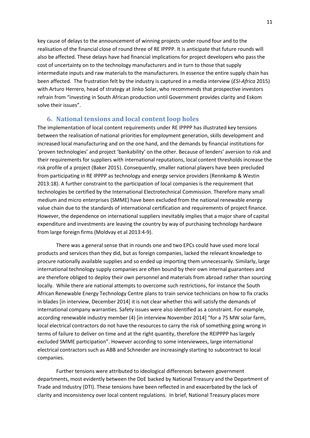key cause of delays to the announcement of winning projects under round four and to the realisation of the financial close of round three of RE IPPPP. It is anticipate that future rounds will also be affected. These delays have had financial implications for project developers who pass the cost of uncertainty on to the technology manufacturers and in turn to those that supply intermediate inputs and raw materials to the manufacturers. In essence the entire supply chain has been affected. The frustration felt by the industry is captured in a media interview (*ESI-Africa* 2015) with Arturo Herrero, head of strategy at Jinko Solar, who recommends that prospective investors refrain from "investing in South African production until Government provides clarity and Eskom solve their issues".

#### **6. National tensions and local content loop holes**

The implementation of local content requirements under RE IPPPP has illustrated key tensions between the realisation of national priorities for employment generation, skills development and increased local manufacturing and on the one hand, and the demands by financial institutions for 'proven technologies' and project 'bankability' on the other. Because of lenders' aversion to risk and their requirements for suppliers with international reputations, local content thresholds increase the risk profile of a project (Baker 2015). Consequently, smaller national players have been precluded from participating in RE IPPPP as technology and energy service providers (Rennkamp & Westin 2013:18). A further constraint to the participation of local companies is the requirement that technologies be certified by the International Electrotechnical Commission. Therefore many small medium and micro enterprises (SMME) have been excluded from the national renewable energy value chain due to the standards of international certification and requirements of project finance. However, the dependence on international suppliers inevitably implies that a major share of capital expenditure and investments are leaving the country by way of purchasing technology hardware from large foreign firms (Moldvay et al 2013:4-9).

There was a general sense that in rounds one and two EPCs could have used more local products and services than they did, but as foreign companies, lacked the relevant knowledge to procure nationally available supplies and so ended up importing them unnecessarily. Similarly, large international technology supply companies are often bound by their own internal guarantees and are therefore obliged to deploy their own personnel and materials from abroad rather than sourcing locally. While there are national attempts to overcome such restrictions, for instance the South African Renewable Energy Technology Centre plans to train service technicians on how to fix cracks in blades [in interview, December 2014] it is not clear whether this will satisfy the demands of international company warranties. Safety issues were also identified as a constraint. For example, according renewable industry member (4) [in interview November 2014] "for a 75 MW solar farm, local electrical contractors do not have the resources to carry the risk of something going wrong in terms of failure to deliver on time and at the right quantity, therefore the REIPPPP has largely excluded SMME participation". However according to some interviewees, large international electrical contractors such as ABB and Schneider are increasingly starting to subcontract to local companies.

Further tensions were attributed to ideological differences between government departments, most evidently between the DoE backed by National Treasury and the Department of Trade and Industry (DTI). These tensions have been reflected in and exacerbated by the lack of clarity and inconsistency over local content regulations. In brief, National Treasury places more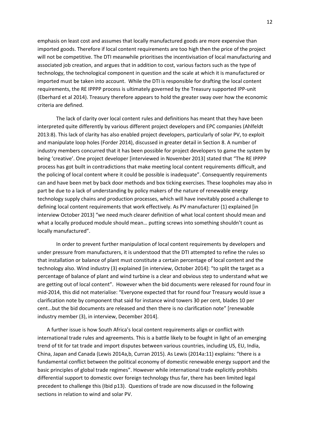emphasis on least cost and assumes that locally manufactured goods are more expensive than imported goods. Therefore if local content requirements are too high then the price of the project will not be competitive. The DTI meanwhile prioritises the incentivisation of local manufacturing and associated job creation, and argues that in addition to cost, various factors such as the type of technology, the technological component in question and the scale at which it is manufactured or imported must be taken into account. While the DTI is responsible for drafting the local content requirements, the RE IPPPP process is ultimately governed by the Treasury supported IPP-unit (Eberhard et al 2014). Treasury therefore appears to hold the greater sway over how the economic criteria are defined.

The lack of clarity over local content rules and definitions has meant that they have been interpreted quite differently by various different project developers and EPC companies (Ahlfeldt 2013:8). This lack of clarity has also enabled project developers, particularly of solar PV, to exploit and manipulate loop holes (Forder 2014), discussed in greater detail in Section 8. A number of industry members concurred that it has been possible for project developers to game the system by being 'creative'. One project developer [interviewed in November 2013] stated that "The RE IPPPP process has got built in contradictions that make meeting local content requirements difficult, and the policing of local content where it could be possible is inadequate". Consequently requirements can and have been met by back door methods and box ticking exercises. These loopholes may also in part be due to a lack of understanding by policy makers of the nature of renewable energy technology supply chains and production processes, which will have inevitably posed a challenge to defining local content requirements that work effectively. As PV manufacturer (1) explained [in interview October 2013] "we need much clearer definition of what local content should mean and what a locally produced module should mean… putting screws into something shouldn't count as locally manufactured".

In order to prevent further manipulation of local content requirements by developers and under pressure from manufacturers, it is understood that the DTI attempted to refine the rules so that installation or balance of plant must constitute a certain percentage of local content and the technology also. Wind industry (3) explained [in interview, October 2014]: "to split the target as a percentage of balance of plant and wind turbine is a clear and obvious step to understand what we are getting out of local content". However when the bid documents were released for round four in mid-2014, this did not materialise: "Everyone expected that for round four Treasury would issue a clarification note by component that said for instance wind towers 30 per cent, blades 10 per cent...but the bid documents are released and then there is no clarification note" [renewable industry member (3), in interview, December 2014].

A further issue is how South Africa's local content requirements align or conflict with international trade rules and agreements. This is a battle likely to be fought in light of an emerging trend of tit for tat trade and import disputes between various countries, including US, EU, India, China, Japan and Canada (Lewis 2014a,b, Curran 2015). As Lewis (2014a:11) explains: "there is a fundamental conflict between the political economy of domestic renewable energy support and the basic principles of global trade regimes". However while international trade explicitly prohibits differential support to domestic over foreign technology thus far, there has been limited legal precedent to challenge this (Ibid p13). Questions of trade are now discussed in the following sections in relation to wind and solar PV.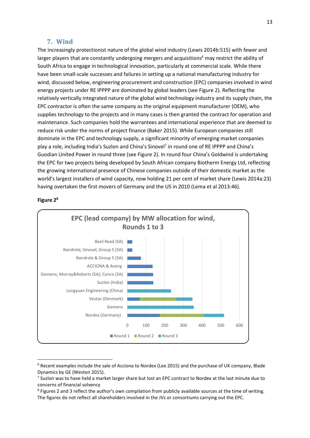#### **7. Wind**

The increasingly protectionist nature of the global wind industry (Lewis 2014b:515) with fewer and larger players that are constantly undergoing mergers and acquisitions<sup>6</sup> may restrict the ability of South Africa to engage in technological innovation, particularly at commercial scale. While there have been small-scale successes and failures in setting up a national manufacturing industry for wind, discussed below, engineering procurement and construction (EPC) companies involved in wind energy projects under RE IPPPP are dominated by global leaders (see Figure 2). Reflecting the relatively vertically integrated nature of the global wind technology industry and its supply chain, the EPC contractor is often the same company as the original equipment manufacturer (OEM), who supplies technology to the projects and in many cases is then granted the contract for operation and maintenance. Such companies hold the warrantees and international experience that are deemed to reduce risk under the norms of project finance (Baker 2015). While European companies still dominate in the EPC and technology supply, a significant minority of emerging market companies play a role, including India's Suzlon and China's Sinovel<sup>7</sup> in round one of RE IPPPP and China's Guodian United Power in round three (see Figure 2). In round four China's Goldwind is undertaking the EPC for two projects being developed by South African company Biotherm Energy Ltd, reflecting the growing international presence of Chinese companies outside of their domestic market as the world's largest installers of wind capacity, now holding 21 per cent of market share (Lewis 2014a:23) having overtaken the first movers of Germany and the US in 2010 (Lema et al 2013:46).



**.** 



<sup>6</sup> Recent examples include the sale of Acciona to Nordex (Lee 2015) and the purchase of UK company, Blade Dynamics by GE (Weston 2015).

<sup>&</sup>lt;sup>7</sup> Suzlon was to have held a market larger share but lost an EPC contract to Nordex at the last minute due to concerns of financial solvency

<sup>&</sup>lt;sup>8</sup> Figures 2 and 3 reflect the author's own compilation from publicly available sources at the time of writing. The figures do not reflect all shareholders involved in the JVs or consortiums carrying out the EPC.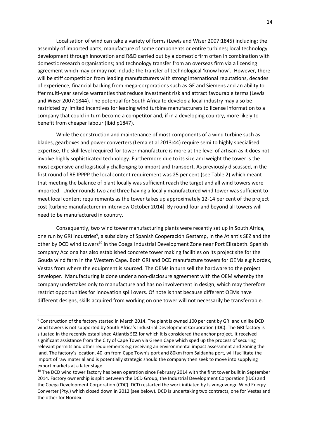Localisation of wind can take a variety of forms (Lewis and Wiser 2007:1845) including: the assembly of imported parts; manufacture of some components or entire turbines; local technology development through innovation and R&D carried out by a domestic firm often in combination with domestic research organisations; and technology transfer from an overseas firm via a licensing agreement which may or may not include the transfer of technological 'know how'. However, there will be stiff competition from leading manufacturers with strong international reputations, decades of experience, financial backing from mega-corporations such as GE and Siemens and an ability to ffer multi-year service warranties that reduce investment risk and attract favourable terms (Lewis and Wiser 2007:1844). The potential for South Africa to develop a local industry may also be restricted by limited incentives for leading wind turbine manufacturers to license information to a company that could in turn become a competitor and, if in a developing country, more likely to benefit from cheaper labour (Ibid p1847).

While the construction and maintenance of most components of a wind turbine such as blades, gearboxes and power converters (Lema et al 2013:44) require semi to highly specialised expertise, the skill level required for tower manufacture is more at the level of artisan as it does not involve highly sophisticated technology. Furthermore due to its size and weight the tower is the most expensive and logistically challenging to import and transport. As previously discussed, in the first round of RE IPPPP the local content requirement was 25 per cent (see Table 2) which meant that meeting the balance of plant locally was sufficient reach the target and all wind towers were imported. Under rounds two and three having a locally manufactured wind tower was sufficient to meet local content requirements as the tower takes up approximately 12-14 per cent of the project cost [turbine manufacturer in interview October 2014]. By round four and beyond all towers will need to be manufactured in country.

Consequently, two wind tower manufacturing plants were recently set up in South Africa, one run by GRI industries<sup>9</sup>, a subsidiary of Spanish Cooperación Gestamp, in the Atlantis SEZ and the other by DCD wind towers<sup>10</sup> in the Coega Industrial Development Zone near Port Elizabeth. Spanish company Acciona has also established concrete tower making facilities on its project site for the Gouda wind farm in the Western Cape. Both GRI and DCD manufacture towers for OEMs e.g Nordex, Vestas from where the equipment is sourced. The OEMs in turn sell the hardware to the project developer. Manufacturing is done under a non-disclosure agreement with the OEM whereby the company undertakes only to manufacture and has no involvement in design, which may therefore restrict opportunities for innovation spill overs. Of note is that because different OEMs have different designs, skills acquired from working on one tower will not necessarily be transferrable.

1

<sup>&</sup>lt;sup>9</sup> Construction of the factory started in March 2014. The plant is owned 100 per cent by GRI and unlike DCD wind towers is not supported by South Africa's Industrial Development Corporation (IDC). The GRI factory is situated in the recently established Atlantis SEZ for which it is considered the anchor project. It received significant assistance from the City of Cape Town via Green Cape which sped up the process of securing relevant permits and other requirements e.g receiving an environmental impact assessment and zoning the land. The factory's location, 40 km from Cape Town's port and 80km from Saldanha port, will facilitate the import of raw material and is potentially strategic should the company then seek to move into supplying export markets at a later stage.

<sup>&</sup>lt;sup>10</sup> The DCD wind tower factory has been operation since February 2014 with the first tower built in September 2014. Factory ownership is split between the DCD Group, the Industrial Development Corporation (IDC) and the Coega Development Corporation (CDC). DCD restarted the work initiated by Isivunguvungu Wind Energy Converter (Pty.) which closed down in 2012 (see below). DCD is undertaking two contracts, one for Vestas and the other for Nordex.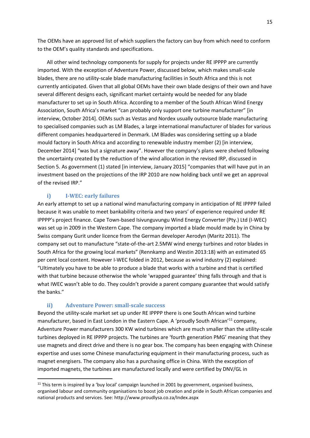The OEMs have an approved list of which suppliers the factory can buy from which need to conform to the OEM's quality standards and specifications.

All other wind technology components for supply for projects under RE IPPPP are currently imported. With the exception of Adventure Power, discussed below, which makes small-scale blades, there are no utility-scale blade manufacturing facilities in South Africa and this is not currently anticipated. Given that all global OEMs have their own blade designs of their own and have several different designs each, significant market certainty would be needed for any blade manufacturer to set up in South Africa. According to a member of the South African Wind Energy Association, South Africa's market "can probably only support one turbine manufacturer" [in interview, October 2014]. OEMs such as Vestas and Nordex usually outsource blade manufacturing to specialised companies such as LM Blades, a large international manufacturer of blades for various different companies headquartered in Denmark. LM Blades was considering setting up a blade mould factory in South Africa and according to renewable industry member (2) [in interview, December 2014] "was but a signature away". However the company's plans were shelved following the uncertainty created by the reduction of the wind allocation in the revised IRP, discussed in Section 5. As government (1) stated [in interview, January 2015] "companies that will have put in an investment based on the projections of the IRP 2010 are now holding back until we get an approval of the revised IRP."

#### **i) I-WEC: early failures**

**.** 

An early attempt to set up a national wind manufacturing company in anticipation of RE IPPPP failed because it was unable to meet bankability criteria and two years' of experience required under RE IPPPP's project finance. Cape Town-based Isivunguvungu Wind Energy Converter (Pty.) Ltd (I-WEC) was set up in 2009 in the Western Cape. The company imported a blade mould made by in China by Swiss company Gurit under licence from the German developer Aerodyn (Maritz 2011). The company set out to manufacture "state-of-the-art 2.5MW wind energy turbines and rotor blades in South Africa for the growing local markets" (Rennkamp and Westin 2013:18) with an estimated 65 per cent local content. However I-WEC folded in 2012, because as wind industry (2) explained: "Ultimately you have to be able to produce a blade that works with a turbine and that is certified with that turbine because otherwise the whole 'wrapped guarantee' thing falls through and that is what IWEC wasn't able to do. They couldn't provide a parent company guarantee that would satisfy the banks."

#### **ii) Adventure Power: small-scale success**

Beyond the utility-scale market set up under RE IPPPP there is one South African wind turbine manufacturer, based in East London in the Eastern Cape. A 'proudly South African'<sup>11</sup> company, Adventure Power manufacturers 300 KW wind turbines which are much smaller than the utility-scale turbines deployed in RE IPPPP projects. The turbines are 'fourth generation PMG' meaning that they use magnets and direct drive and there is no gear box. The company has been engaging with Chinese expertise and uses some Chinese manufacturing equipment in their manufacturing process, such as magnet energisers. The company also has a purchasing office in China. With the exception of imported magnets, the turbines are manufactured locally and were certified by DNV/GL in

<sup>&</sup>lt;sup>11</sup> This term is inspired by a 'buy local' campaign launched in 2001 by government, organised business, organised labour and community organisations to boost job creation and pride in South African companies and national products and services. See: http://www.proudlysa.co.za/Index.aspx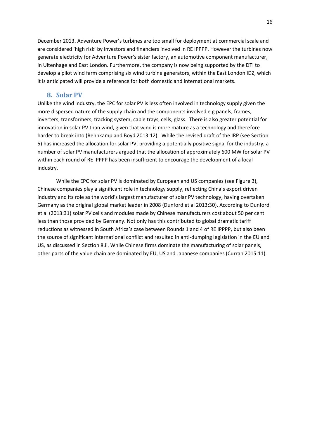December 2013. Adventure Power's turbines are too small for deployment at commercial scale and are considered 'high risk' by investors and financiers involved in RE IPPPP. However the turbines now generate electricity for Adventure Power's sister factory, an automotive component manufacturer, in Uitenhage and East London. Furthermore, the company is now being supported by the DTI to develop a pilot wind farm comprising six wind turbine generators, within the East London IDZ, which it is anticipated will provide a reference for both domestic and international markets.

#### **8. Solar PV**

Unlike the wind industry, the EPC for solar PV is less often involved in technology supply given the more dispersed nature of the supply chain and the components involved e.g panels, frames, inverters, transformers, tracking system, cable trays, cells, glass. There is also greater potential for innovation in solar PV than wind, given that wind is more mature as a technology and therefore harder to break into (Rennkamp and Boyd 2013:12). While the revised draft of the IRP (see Section 5) has increased the allocation for solar PV, providing a potentially positive signal for the industry, a number of solar PV manufacturers argued that the allocation of approximately 600 MW for solar PV within each round of RE IPPPP has been insufficient to encourage the development of a local industry.

While the EPC for solar PV is dominated by European and US companies (see Figure 3), Chinese companies play a significant role in technology supply, reflecting China's export driven industry and its role as the world's largest manufacturer of solar PV technology, having overtaken Germany as the original global market leader in 2008 (Dunford et al 2013:30). According to Dunford et al (2013:31) solar PV cells and modules made by Chinese manufacturers cost about 50 per cent less than those provided by Germany. Not only has this contributed to global dramatic tariff reductions as witnessed in South Africa's case between Rounds 1 and 4 of RE IPPPP, but also been the source of significant international conflict and resulted in anti-dumping legislation in the EU and US, as discussed in Section 8.ii. While Chinese firms dominate the manufacturing of solar panels, other parts of the value chain are dominated by EU, US and Japanese companies (Curran 2015:11).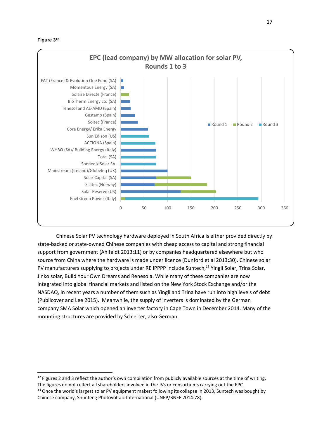

1



Chinese Solar PV technology hardware deployed in South Africa is either provided directly by state-backed or state-owned Chinese companies with cheap access to capital and strong financial support from government (Ahlfeldt 2013:11) or by companies headquartered elsewhere but who source from China where the hardware is made under licence (Dunford et al 2013:30). Chinese solar PV manufacturers supplying to projects under RE IPPPP include Suntech,<sup>13</sup> Yingli Solar, Trina Solar, Jinko solar, Build Your Own Dreams and Renesola. While many of these companies are now integrated into global financial markets and listed on the New York Stock Exchange and/or the NASDAQ, in recent years a number of them such as Yingli and Trina have run into high levels of debt (Publicover and Lee 2015). Meanwhile, the supply of inverters is dominated by the German company SMA Solar which opened an inverter factory in Cape Town in December 2014. Many of the mounting structures are provided by Schletter, also German.

<sup>&</sup>lt;sup>12</sup> Figures 2 and 3 reflect the author's own compilation from publicly available sources at the time of writing. The figures do not reflect all shareholders involved in the JVs or consortiums carrying out the EPC.

<sup>&</sup>lt;sup>13</sup> Once the world's largest solar PV equipment maker; following its collapse in 2013, Suntech was bought by Chinese company, Shunfeng Photovoltaic International (UNEP/BNEF 2014:78).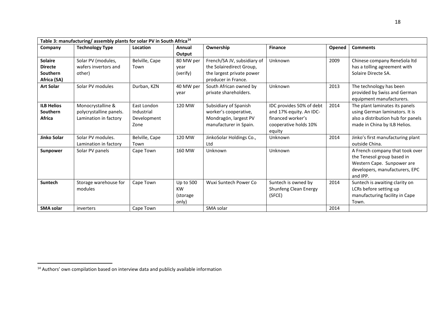| Table 3: manufacturing/ assembly plants for solar PV in South Africa <sup>14</sup> |                                                                       |                                                  |                                             |                                                                                                             |                                                                                                             |        |                                                                                                                                           |
|------------------------------------------------------------------------------------|-----------------------------------------------------------------------|--------------------------------------------------|---------------------------------------------|-------------------------------------------------------------------------------------------------------------|-------------------------------------------------------------------------------------------------------------|--------|-------------------------------------------------------------------------------------------------------------------------------------------|
| Company                                                                            | <b>Technology Type</b>                                                | Location                                         | Annual<br>Output                            | Ownership                                                                                                   | <b>Finance</b>                                                                                              | Opened | <b>Comments</b>                                                                                                                           |
| <b>Solaire</b><br><b>Directe</b><br>Southern<br>Africa (SA)                        | Solar PV (modules,<br>wafers invertors and<br>other)                  | Belville, Cape<br>Town                           | 80 MW per<br>year<br>(verify)               | French/SA JV, subsidiary of<br>the Solairedirect Group,<br>the largest private power<br>producer in France. | Unknown                                                                                                     | 2009   | Chinese company ReneSola Itd<br>has a tolling agreement with<br>Solaire Directe SA.                                                       |
| <b>Art Solar</b>                                                                   | Solar PV modules                                                      | Durban, KZN                                      | 40 MW per<br>vear                           | South African owned by<br>private shareholders.                                                             | Unknown                                                                                                     | 2013   | The technology has been<br>provided by Swiss and German<br>equipment manufacturers.                                                       |
| <b>ILB Helios</b><br>Southern<br><b>Africa</b>                                     | Monocrystalline &<br>polycrystalline panels.<br>Lamination in factory | East London<br>Industrial<br>Development<br>Zone | 120 MW                                      | Subsidiary of Spanish<br>worker's cooperative,<br>Mondragón, largest PV<br>manufacturer in Spain.           | IDC provides 50% of debt<br>and 17% equity. An IDC-<br>financed worker's<br>cooperative holds 10%<br>equity | 2014   | The plant laminates its panels<br>using German laminators. It is<br>also a distribution hub for panels<br>made in China by ILB Helios.    |
| Jinko Solar                                                                        | Solar PV modules.<br>Lamination in factory                            | Belville, Cape<br>Town                           | 120 MW                                      | JinkoSolar Holdings Co.,<br>Ltd                                                                             | Unknown                                                                                                     | 2014   | Jinko's first manufacturing plant<br>outside China.                                                                                       |
| Sunpower                                                                           | Solar PV panels                                                       | Cape Town                                        | 160 MW                                      | Unknown                                                                                                     | Unknown                                                                                                     |        | A French company that took over<br>the Tenesol group based in<br>Western Cape. Sunpower are<br>developers, manufacturers, EPC<br>and IPP. |
| <b>Suntech</b>                                                                     | Storage warehouse for<br>modules                                      | Cape Town                                        | Up to 500<br><b>KW</b><br>(storage<br>only) | Wuxi Suntech Power Co                                                                                       | Suntech is owned by<br>Shunfeng Clean Energy<br>(SFCE)                                                      | 2014   | Suntech is awaiting clarity on<br>LCRs before setting up<br>manufacturing facility in Cape<br>Town.                                       |
| <b>SMA solar</b>                                                                   | inverters                                                             | Cape Town                                        |                                             | SMA solar                                                                                                   |                                                                                                             | 2014   |                                                                                                                                           |

 $\overline{\phantom{a}}$ 

<sup>&</sup>lt;sup>14</sup> Authors' own compilation based on interview data and publicly available information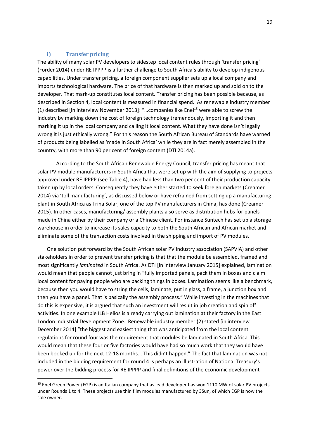#### **i) Transfer pricing**

**.** 

The ability of many solar PV developers to sidestep local content rules through 'transfer pricing' (Forder 2014) under RE IPPPP is a further challenge to South Africa's ability to develop indigenous capabilities. Under transfer pricing, a foreign component supplier sets up a local company and imports technological hardware. The price of that hardware is then marked up and sold on to the developer. That mark-up constitutes local content. Transfer pricing has been possible because, as described in Section 4, local content is measured in financial spend. As renewable industry member (1) described [in interview November 2013]: "…companies like Enel<sup>15</sup> were able to screw the industry by marking down the cost of foreign technology tremendously, importing it and then marking it up in the local company and calling it local content. What they have done isn't legally wrong it is just ethically wrong." For this reason the South African Bureau of Standards have warned of products being labelled as 'made in South Africa' while they are in fact merely assembled in the country, with more than 90 per cent of foreign content (DTI 2014a).

According to the South African Renewable Energy Council, transfer pricing has meant that solar PV module manufacturers in South Africa that were set up with the aim of supplying to projects approved under RE IPPPP (see Table 4), have had less than two per cent of their production capacity taken up by local orders. Consequently they have either started to seek foreign markets (Creamer 2014) via 'toll manufacturing', as discussed below or have refrained from setting up a manufacturing plant in South Africa as Trina Solar, one of the top PV manufacturers in China, has done (Creamer 2015). In other cases, manufacturing/ assembly plants also serve as distribution hubs for panels made in China either by their company or a Chinese client. For instance Suntech has set up a storage warehouse in order to increase its sales capacity to both the South African and African market and eliminate some of the transaction costs involved in the shipping and import of PV modules.

One solution put forward by the South African solar PV industry association (SAPVIA) and other stakeholders in order to prevent transfer pricing is that that the module be assembled, framed and most significantly *laminated* in South Africa. As DTI [in interview January 2015] explained, lamination would mean that people cannot just bring in "fully imported panels, pack them in boxes and claim local content for paying people who are packing things in boxes. Lamination seems like a benchmark, because then you would have to string the cells, laminate, put in glass, a frame, a junction box and then you have a panel. That is basically the assembly process." While investing in the machines that do this is expensive, it is argued that such an investment will result in job creation and spin off activities. In one example ILB Helios is already carrying out lamination at their factory in the East London Industrial Development Zone. Renewable industry member (2) stated [in interview December 2014] "the biggest and easiest thing that was anticipated from the local content regulations for round four was the requirement that modules be laminated in South Africa. This would mean that these four or five factories would have had so much work that they would have been booked up for the next 12-18 months... This didn't happen." The fact that lamination was not included in the bidding requirement for round 4 is perhaps an illustration of National Treasury's power over the bidding process for RE IPPPP and final definitions of the economic development

<sup>&</sup>lt;sup>15</sup> Enel Green Power (EGP) is an Italian company that as lead developer has won 1110 MW of solar PV projects under Rounds 1 to 4. These projects use thin film modules manufactured by 3Sun, of which EGP is now the sole owner.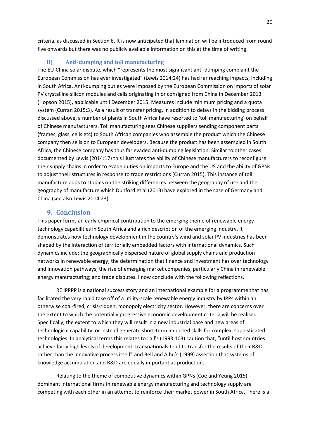criteria, as discussed in Section 6. It is now anticipated that lamination will be introduced from round five onwards but there was no publicly available information on this at the time of writing.

#### **ii) Anti-dumping and toll manufacturing**

The EU-China solar dispute, which "represents the most significant anti-dumping complaint the European Commission has ever investigated" (Lewis 2014:24) has had far reaching impacts, including in South Africa. Anti-dumping duties were imposed by the European Commission on imports of solar PV crystalline silicon modules and cells originating in or consigned from China in December 2013 (Hopson 2015), applicable until December 2015. Measures include minimum pricing and a quota system (Curran 2015:3). As a result of transfer pricing, in addition to delays in the bidding process discussed above, a number of plants in South Africa have resorted to 'toll manufacturing' on behalf of Chinese manufacturers. Toll manufacturing sees Chinese suppliers sending component parts (frames, glass, cells etc) to South African companies who assemble the product which the Chinese company then sells on to European developers. Because the product has been assembled in South Africa, the Chinese company has thus far evaded anti-dumping legislation. Similar to other cases documented by Lewis (2014:17) this illustrates the ability of Chinese manufacturers to reconfigure their supply chains in order to evade duties on imports to Europe and the US and the ability of GPNs to adjust their structures in response to trade restrictions (Curran 2015). This instance of toll manufacture adds to studies on the striking differences between the geography of use and the geography of manufacture which Dunford et al (2013) have explored in the case of Germany and China (see also Lewis 2014:23)

#### **9. Conclusion**

This paper forms an early empirical contribution to the emerging theme of renewable energy technology capabilities in South Africa and a rich description of the emerging industry. It demonstrates how technology development in the country's wind and solar PV industries has been shaped by the interaction of territorially embedded factors with international dynamics. Such dynamics include: the geographically dispersed nature of global supply chains and production networks in renewable energy; the determination that finance and investment has over technology and innovation pathways; the rise of emerging market companies, particularly China in renewable energy manufacturing; and trade disputes. I now conclude with the following reflections.

RE IPPPP is a national success story and an international example for a programme that has facilitated the very rapid take off of a utility-scale renewable energy industry by IPPs within an otherwise coal-fired, crisis-ridden, monopoly electricity sector. However, there are concerns over the extent to which the potentially progressive economic development criteria will be realised. Specifically, the extent to which they will result in a new industrial base and new areas of technological capability, or instead generate short-term imported skills for complex, sophisticated technologies. In analytical terms this relates to Lall's (1993:103) caution that, "until host countries achieve fairly high levels of development, transnationals tend to transfer the results of their R&D rather than the innovative process itself" and Bell and Albu's (1999) assertion that systems of knowledge accumulation and R&D are equally important as production.

Relating to the theme of competitive dynamics within GPNs (Coe and Yeung 2015), dominant international firms in renewable energy manufacturing and technology supply are competing with each other in an attempt to reinforce their market power in South Africa. There is a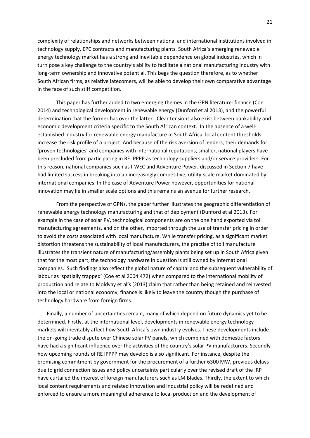complexity of relationships and networks between national and international institutions involved in technology supply, EPC contracts and manufacturing plants. South Africa's emerging renewable energy technology market has a strong and inevitable dependence on global industries, which in turn pose a key challenge to the country's ability to facilitate a national manufacturing industry with long-term ownership and innovative potential. This begs the question therefore, as to whether South African firms, as relative latecomers, will be able to develop their own comparative advantage in the face of such stiff competition.

This paper has further added to two emerging themes in the GPN literature: finance (Coe 2014) and technological development in renewable energy (Dunford et al 2013), and the powerful determination that the former has over the latter. Clear tensions also exist between bankability and economic development criteria specific to the South African context. In the absence of a wellestablished industry for renewable energy manufacture in South Africa, local content thresholds increase the risk profile of a project. And because of the risk aversion of lenders, their demands for 'proven technologies' and companies with international reputations, smaller, national players have been precluded from participating in RE IPPPP as technology suppliers and/or service providers. For this reason, national companies such as I-WEC and Adventure Power, discussed in Section 7 have had limited success in breaking into an increasingly competitive, utility-scale market dominated by international companies. In the case of Adventure Power however, opportunities for national innovation may lie in smaller scale options and this remains an avenue for further research.

From the perspective of GPNs, the paper further illustrates the geographic differentiation of renewable energy technology manufacturing and that of deployment (Dunford et al 2013). For example in the case of solar PV, technological components are on the one hand exported via toll manufacturing agreements, and on the other, imported through the use of transfer pricing in order to avoid the costs associated with local manufacture. While transfer pricing, as a significant market distortion threatens the sustainability of local manufacturers, the practise of toll manufacture illustrates the transient nature of manufacturing/assembly plants being set up in South Africa given that for the most part, the technology hardware in question is still owned by international companies. Such findings also reflect the global nature of capital and the subsequent vulnerability of labour as 'spatially trapped' (Coe et al 2004:472) when compared to the international mobility of production and relate to Moldvay et al's (2013) claim that rather than being retained and reinvested into the local or national economy, finance is likely to leave the country though the purchase of technology hardware from foreign firms.

Finally, a number of uncertainties remain, many of which depend on future dynamics yet to be determined. Firstly, at the international level, developments in renewable energy technology markets will inevitably affect how South Africa's own industry evolves. These developments include the on-going trade dispute over Chinese solar PV panels, which combined with domestic factors have had a significant influence over the activities of the country's solar PV manufacturers. Secondly how upcoming rounds of RE IPPPP may develop is also significant. For instance, despite the promising commitment by government for the procurement of a further 6300 MW, previous delays due to grid connection issues and policy uncertainty particularly over the revised draft of the IRP have curtailed the interest of foreign manufacturers such as LM Blades. Thirdly, the extent to which local content requirements and related innovation and industrial policy will be redefined and enforced to ensure a more meaningful adherence to local production and the development of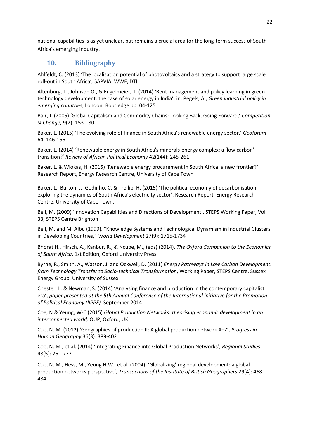national capabilities is as yet unclear, but remains a crucial area for the long-term success of South Africa's emerging industry.

# **10. Bibliography**

Ahlfeldt, C. (2013) 'The localisation potential of photovoltaics and a strategy to support large scale roll-out in South Africa'*,* SAPVIA, WWF, DTI

Altenburg, T., Johnson O., & Engelmeier, T. (2014) 'Rent management and policy learning in green technology development: the case of solar energy in India', in, Pegels, A., *Green industrial policy in emerging countries*, London: Routledge pp104-125

Bair, J. (2005) 'Global Capitalism and Commodity Chains: Looking Back, Going Forward,' *Competition & Change,* 9(2): 153-180

Baker, L. (2015) 'The evolving role of finance in South Africa's renewable energy sector,' *Geoforum* 64: 146-156

Baker, L. (2014) 'Renewable energy in South Africa's minerals-energy complex: a 'low carbon' transition?' *Review of African Political Economy* 42(144): 245-261

Baker, L. & Wlokas, H. (2015) 'Renewable energy procurement in South Africa: a new frontier?' Research Report, Energy Research Centre, University of Cape Town

Baker, L., Burton, J., Godinho, C. & Trollip, H. (2015) 'The political economy of decarbonisation: exploring the dynamics of South Africa's electricity sector', Research Report, Energy Research Centre, University of Cape Town,

Bell, M. (2009) 'Innovation Capabilities and Directions of Development', STEPS Working Paper, Vol 33, STEPS Centre Brighton

Bell, M. and M. Albu (1999). "Knowledge Systems and Technological Dynamism in Industrial Clusters in Developing Countries," *World Development* 27(9): 1715-1734

Bhorat H., Hirsch, A., Kanbur, R., & Ncube, M., (eds) (2014), *The Oxford Companion to the Economics of South Africa*, 1st Edition, Oxford University Press

Byrne, R., Smith, A., Watson, J. and Ockwell, D. (2011) *Energy Pathways in Low Carbon Development: from Technology Transfer to Socio-technical Transformation*, Working Paper, STEPS Centre, Sussex Energy Group, University of Sussex

Chester, L. & Newman, S. (2014) 'Analysing finance and production in the contemporary capitalist era', *paper presented at the 5th Annual Conference of the International Initiative for the Promotion of Political Economy (IIPPE),* September 2014

Coe, N & Yeung, W-C (2015) *Global Production Networks: theorising economic development in an interconnected world,* OUP, Oxford, UK

Coe, N. M. (2012) 'Geographies of production II: A global production network A–Z', *Progress in Human Geography* 36(3): 389-402

Coe, N. M., et al. (2014) 'Integrating Finance into Global Production Networks', *Regional Studies* 48(5): 761-777

Coe, N. M., Hess, M., Yeung H.W., et al. (2004). 'Globalizing' regional development: a global production networks perspective', *Transactions of the Institute of British Geographers* 29(4): 468- 484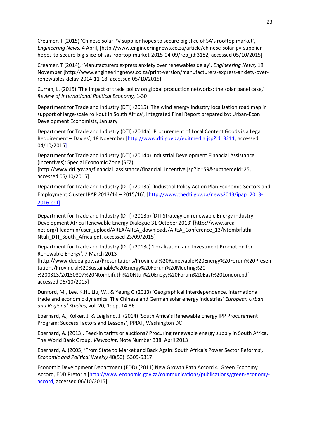Creamer, T (2015) 'Chinese solar PV supplier hopes to secure big slice of SA's rooftop market', *Engineering News,* 4 April, [http://www.engineeringnews.co.za/article/chinese-solar-pv-supplierhopes-to-secure-big-slice-of-sas-rooftop-market-2015-04-09/rep\_id:3182, accessed 05/10/2015]

Creamer, T (2014), 'Manufacturers express anxiety over renewables delay', *Engineering News,* 18 November [http://www.engineeringnews.co.za/print-version/manufacturers-express-anxiety-overrenewables-delay-2014-11-18, accessed 05/10/2015]

Curran, L. (2015) 'The impact of trade policy on global production networks: the solar panel case,' *Review of International Political Economy,* 1-30

Department for Trade and Industry (DTI) (2015) 'The wind energy industry localisation road map in support of large-scale roll-out in South Africa', Integrated Final Report prepared by: Urban-Econ Development Economists, January

Department for Trade and Industry (DTI) (2014a) 'Procurement of Local Content Goods is a Legal Requirement – Davies', 18 November [\[http://www.dti.gov.za/editmedia.jsp?id=3211,](http://www.dti.gov.za/editmedia.jsp?id=3211) accessed 04/10/2015]

Department for Trade and Industry (DTI) (2014b) Industrial Development Financial Assistance (Incentives): Special Economic Zone (SEZ)

[http://www.dti.gov.za/financial\_assistance/financial\_incentive.jsp?id=59&subthemeid=25, accessed 05/10/2015]

Department for Trade and Industry (DTI) (2013a) 'Industrial Policy Action Plan Economic Sectors and Employment Cluster IPAP 2013/14 – 2015/16', [\[http://www.thedti.gov.za/news2013/ipap\\_2013-](http://www.thedti.gov.za/news2013/ipap_2013-2016.pdf) [2016.pdf\]](http://www.thedti.gov.za/news2013/ipap_2013-2016.pdf)

Department for Trade and Industry (DTI) (2013b) 'DTI Strategy on renewable Energy industry Development Africa Renewable Energy Dialogue 31 October 2013' [http://www.areanet.org/fileadmin/user\_upload/AREA/AREA\_downloads/AREA\_Conference\_13/Ntombifuthi-Ntuli\_DTI\_South\_Africa.pdf, accessed 23/09/2015]

Department for Trade and Industry (DTI) (2013c) 'Localisation and Investment Promotion for Renewable Energy', 7 March 2013

[http://www.dedea.gov.za/Presentations/Provincial%20Renewable%20Energy%20Forum%20Presen tations/Provincial%20Sustainable%20Energy%20Forum%20Meeting%20- %200313/20130307%20Ntombifuthi%20Ntuli%20Enegy%20Forum%20East%20London.pdf, accessed 06/10/2015]

Dunford, M., Lee, K.H., Liu, W., & Yeung G (2013) 'Geographical interdependence, international trade and economic dynamics: The Chinese and German solar energy industries' *European Urban and Regional Studies*, vol. 20, 1: pp. 14-36

Eberhard, A., Kolker, J. & Leigland, J. (2014) 'South Africa's Renewable Energy IPP Procurement Program: Success Factors and Lessons', PPIAF, Washington DC

Eberhard, A. (2013). Feed-in tariffs or auctions? Procuring renewable energy supply in South Africa, The World Bank Group, *Viewpoint*, Note Number 338, April 2013

Eberhard, A. (2005) 'From State to Market and Back Again: South Africa's Power Sector Reforms', *Economic and Political Weekly* 40(50): 5309-5317.

Economic Development Department (EDD) (2011) New Growth Path Accord 4. Green Economy Accord, EDD Pretoria [\[http://www.economic.gov.za/communications/publications/green-economy](http://www.economic.gov.za/communications/publications/green-economy-accord)[accord,](http://www.economic.gov.za/communications/publications/green-economy-accord) accessed 06/10/2015]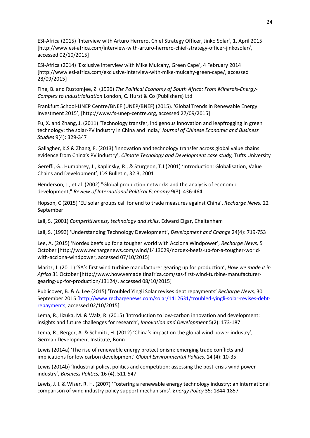ESI-Africa (2015) 'Interview with Arturo Herrero, Chief Strategy Officer, Jinko Solar', 1, April 2015 [http://www.esi-africa.com/interview-with-arturo-herrero-chief-strategy-officer-jinkosolar/, accessed 02/10/2015]

ESI-Africa (2014) 'Exclusive interview with Mike Mulcahy, Green Cape', 4 February 2014 [http://www.esi-africa.com/exclusive-interview-with-mike-mulcahy-green-cape/, accessed 28/09/2015]

Fine, B. and Rustomjee, Z. (1996) *The Political Economy of South Africa: From Minerals-Energy-Complex to Industrialisation* London, C. Hurst & Co (Publishers) Ltd

Frankfurt School-UNEP Centre/BNEF (UNEP/BNEF) (2015). 'Global Trends in Renewable Energy Investment 2015', [http://www.fs-unep-centre.org, accessed 27/09/2015]

Fu, X. and Zhang, J. (2011) 'Technology transfer, indigenous innovation and leapfrogging in green technology: the solar-PV industry in China and India,' *Journal of Chinese Economic and Business Studies* 9(4): 329-347

Gallagher, K.S & Zhang, F. (2013) 'Innovation and technology transfer across global value chains: evidence from China's PV industry', *Climate Tecnology and Development case study,* Tufts University

Gereffi, G., Humphrey, J., Kaplinsky, R., & Sturgeon, T.J (2001) 'Introduction: Globalisation, Value Chains and Development', IDS Bulletin, 32.3, 2001

Henderson, J., et al. (2002) "Global production networks and the analysis of economic development," *Review of International Political Economy* 9(3): 436-464

Hopson, C (2015) 'EU solar groups call for end to trade measures against China', *Recharge News,* 22 September

Lall, S. (2001) *Competitiveness, technology and skills*, Edward Elgar, Cheltenham

Lall, S. (1993) 'Understanding Technology Development', *Development and Change* 24(4): 719-753

Lee, A. (2015) 'Nordex beefs up for a tougher world with Acciona Windpower', *Recharge News,* 5 October [http://www.rechargenews.com/wind/1413029/nordex-beefs-up-for-a-tougher-worldwith-acciona-windpower, accessed 07/10/2015]

Maritz, J. (2011) 'SA's first wind turbine manufacturer gearing up for production', *How we made it in Africa* 31 October [http://www.howwemadeitinafrica.com/sas-first-wind-turbine-manufacturergearing-up-for-production/13124/, accessed 08/10/2015]

Publicover, B. & A. Lee (2015) 'Troubled Yingli Solar revises debt repayments' *Recharge News,* 30 September 2015 [\[http://www.rechargenews.com/solar/1412631/troubled-yingli-solar-revises-debt](http://www.rechargenews.com/solar/1412631/troubled-yingli-solar-revises-debt-repayments)[repayments,](http://www.rechargenews.com/solar/1412631/troubled-yingli-solar-revises-debt-repayments) accessed 02/10/2015]

Lema, R., Iizuka, M. & Walz, R. (2015) 'Introduction to low-carbon innovation and development: insights and future challenges for research', *Innovation and Development* 5(2): 173-187

Lema, R., Berger, A. & Schmitz, H. (2012) 'China's impact on the global wind power industry', German Development Institute, Bonn

Lewis (2014a) 'The rise of renewable energy protectionism: emerging trade conflicts and implications for low carbon development' *Global Environmental Politics,* 14 (4): 10-35

Lewis (2014b) 'Industrial policy, politics and competition: assessing the post-crisis wind power industry', *Business Politics;* 16 (4), 511-547

Lewis, J. I. & Wiser, R. H. (2007) 'Fostering a renewable energy technology industry: an international comparison of wind industry policy support mechanisms', *Energy Policy* 35: 1844-1857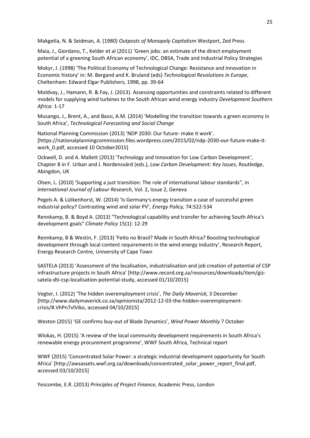Makgetla, N. & Seidman, A. (1980) *Outposts of Monopoly Capitalis*m Westport, Zed Press

Maia, J., Giordano, T., Kelder et al (2011) 'Green jobs: an estimate of the direct employment potential of a greening South African economy', IDC, DBSA, Trade and Industrial Policy Strategies

Mokyr, J. (1998) 'The Political Economy of Technological Change: Resistance and Innovation in Economic history' in: M. Bergand and K. Bruland (eds) *Technological Revolutions in Europe*, Cheltenham: Edward Elgar Publishers, 1998, pp. 39-64

Moldvay, J., Hamann, R. & Fay, J. (2013). Assessing opportunities and constraints related to different models for supplying wind turbines to the South African wind energy industry *Development Southern Africa:* 1-17

Musango, J., Brent, A., and Bassi, A.M. (2014) 'Modelling the transition towards a green economy in South Africa', *Technological Forecasting and Social Change* 

National Planning Commission (2013) 'NDP 2030: Our future- make it work'. [https://nationalplanningcommission.files.wordpress.com/2015/02/ndp-2030-our-future-make-itwork\_0.pdf, accessed 10 October2015]

Ockwell, D. and A. Mallett (2013) 'Technology and Innovation for Low Carbon Development*'*, Chapter 8 in F. Urban and J. Nordensvärd (eds.), *Low Carbon Development: Key Issues*, Routledge, Abingdon, UK

Olsen, L. (2010) 'Supporting a just transition: The role of international labour standards", in *International Journal of Labour Research*, Vol. 2, Issue 2, Geneva

Pegels A. & Lütkenhorst, W. (2014) 'Is Germany׳s energy transition a case of successful green industrial policy? Contrasting wind and solar PV', *Energy Policy,* 74:522-534

Rennkamp, B. & Boyd A. (2013) "Technological capability and transfer for achieving South Africa's development goals" *Climate Policy* 15(1): 12-29

Rennkamp, B & Westin, F. (2013) 'Feito no Brasil? Made in South Africa? Boosting technological development through local content requirements in the wind energy industry', Research Report, Energy Research Centre, University of Cape Town

SASTELA (2013) 'Assessment of the localisation, industrialisation and job creation of potential of CSP infrastructure projects in South Africa' [http://www.record.org.za/resources/downloads/item/gizsatela-dti-csp-localisation-potential-study, accessed 01/10/2015]

Vegter, I. (2012) 'The hidden overemployment crisis', *The Daily Maverick,* 3 December [http://www.dailymaverick.co.za/opinionista/2012-12-03-the-hidden-overemploymentcrisis/#.VhPn7vlViko, accessed 04/10/2015]

Weston (2015) 'GE confirms buy-out of Blade Dynamics', *Wind Power Monthly* 7 October

Wlokas, H. (2015) 'A review of the local community development requirements in South Africa's renewable energy procurement programme', WWF South Africa, Technical report

WWF (2015) 'Concentrated Solar Power: a strategic industrial development opportunity for South Africa' [http://awsassets.wwf.org.za/downloads/concentrated\_solar\_power\_report\_final.pdf, accessed 03/10/2015]

Yescombe, E.R. (2013) *Principles of Project Finance,* Academic Press, London